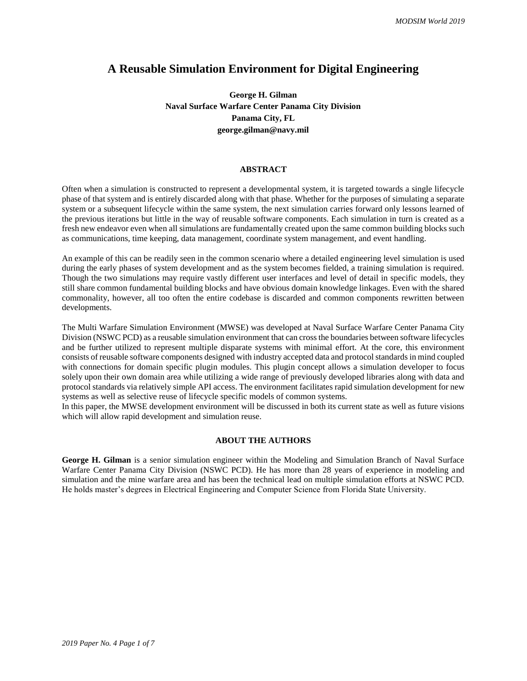## **A Reusable Simulation Environment for Digital Engineering**

**George H. Gilman Naval Surface Warfare Center Panama City Division Panama City, FL george.gilman@navy.mil**

#### **ABSTRACT**

Often when a simulation is constructed to represent a developmental system, it is targeted towards a single lifecycle phase of that system and is entirely discarded along with that phase. Whether for the purposes of simulating a separate system or a subsequent lifecycle within the same system, the next simulation carries forward only lessons learned of the previous iterations but little in the way of reusable software components. Each simulation in turn is created as a fresh new endeavor even when all simulations are fundamentally created upon the same common building blocks such as communications, time keeping, data management, coordinate system management, and event handling.

An example of this can be readily seen in the common scenario where a detailed engineering level simulation is used during the early phases of system development and as the system becomes fielded, a training simulation is required. Though the two simulations may require vastly different user interfaces and level of detail in specific models, they still share common fundamental building blocks and have obvious domain knowledge linkages. Even with the shared commonality, however, all too often the entire codebase is discarded and common components rewritten between developments.

The Multi Warfare Simulation Environment (MWSE) was developed at Naval Surface Warfare Center Panama City Division (NSWC PCD) as a reusable simulation environment that can cross the boundaries between software lifecycles and be further utilized to represent multiple disparate systems with minimal effort. At the core, this environment consists of reusable software components designed with industry accepted data and protocol standards in mind coupled with connections for domain specific plugin modules. This plugin concept allows a simulation developer to focus solely upon their own domain area while utilizing a wide range of previously developed libraries along with data and protocol standards via relatively simple API access. The environment facilitates rapid simulation development for new systems as well as selective reuse of lifecycle specific models of common systems.

In this paper, the MWSE development environment will be discussed in both its current state as well as future visions which will allow rapid development and simulation reuse.

#### **ABOUT THE AUTHORS**

**George H. Gilman** is a senior simulation engineer within the Modeling and Simulation Branch of Naval Surface Warfare Center Panama City Division (NSWC PCD). He has more than 28 years of experience in modeling and simulation and the mine warfare area and has been the technical lead on multiple simulation efforts at NSWC PCD. He holds master's degrees in Electrical Engineering and Computer Science from Florida State University.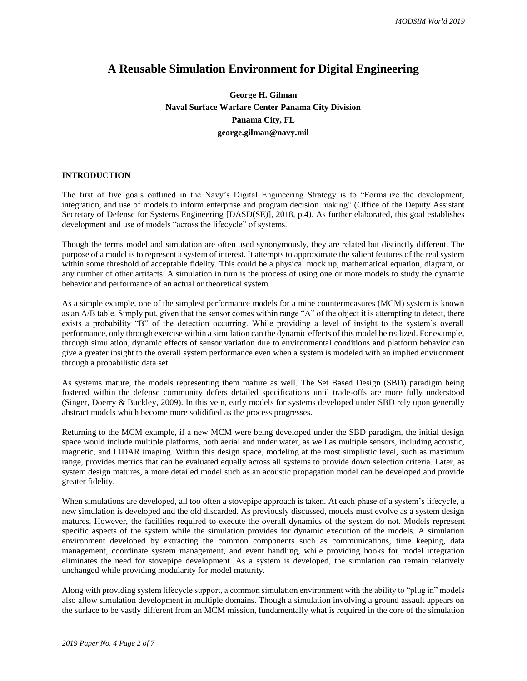# **A Reusable Simulation Environment for Digital Engineering**

# **George H. Gilman Naval Surface Warfare Center Panama City Division Panama City, FL george.gilman@navy.mil**

## **INTRODUCTION**

The first of five goals outlined in the Navy's Digital Engineering Strategy is to "Formalize the development, integration, and use of models to inform enterprise and program decision making" (Office of the Deputy Assistant Secretary of Defense for Systems Engineering [DASD(SE)], 2018, p.4). As further elaborated, this goal establishes development and use of models "across the lifecycle" of systems.

Though the terms model and simulation are often used synonymously, they are related but distinctly different. The purpose of a model is to represent a system of interest. It attempts to approximate the salient features of the real system within some threshold of acceptable fidelity. This could be a physical mock up, mathematical equation, diagram, or any number of other artifacts. A simulation in turn is the process of using one or more models to study the dynamic behavior and performance of an actual or theoretical system.

As a simple example, one of the simplest performance models for a mine countermeasures (MCM) system is known as an A/B table. Simply put, given that the sensor comes within range "A" of the object it is attempting to detect, there exists a probability "B" of the detection occurring. While providing a level of insight to the system's overall performance, only through exercise within a simulation can the dynamic effects of this model be realized. For example, through simulation, dynamic effects of sensor variation due to environmental conditions and platform behavior can give a greater insight to the overall system performance even when a system is modeled with an implied environment through a probabilistic data set.

As systems mature, the models representing them mature as well. The Set Based Design (SBD) paradigm being fostered within the defense community defers detailed specifications until trade-offs are more fully understood (Singer, Doerry & Buckley, 2009). In this vein, early models for systems developed under SBD rely upon generally abstract models which become more solidified as the process progresses.

Returning to the MCM example, if a new MCM were being developed under the SBD paradigm, the initial design space would include multiple platforms, both aerial and under water, as well as multiple sensors, including acoustic, magnetic, and LIDAR imaging. Within this design space, modeling at the most simplistic level, such as maximum range, provides metrics that can be evaluated equally across all systems to provide down selection criteria. Later, as system design matures, a more detailed model such as an acoustic propagation model can be developed and provide greater fidelity.

When simulations are developed, all too often a stovepipe approach is taken. At each phase of a system's lifecycle, a new simulation is developed and the old discarded. As previously discussed, models must evolve as a system design matures. However, the facilities required to execute the overall dynamics of the system do not. Models represent specific aspects of the system while the simulation provides for dynamic execution of the models. A simulation environment developed by extracting the common components such as communications, time keeping, data management, coordinate system management, and event handling, while providing hooks for model integration eliminates the need for stovepipe development. As a system is developed, the simulation can remain relatively unchanged while providing modularity for model maturity.

Along with providing system lifecycle support, a common simulation environment with the ability to "plug in" models also allow simulation development in multiple domains. Though a simulation involving a ground assault appears on the surface to be vastly different from an MCM mission, fundamentally what is required in the core of the simulation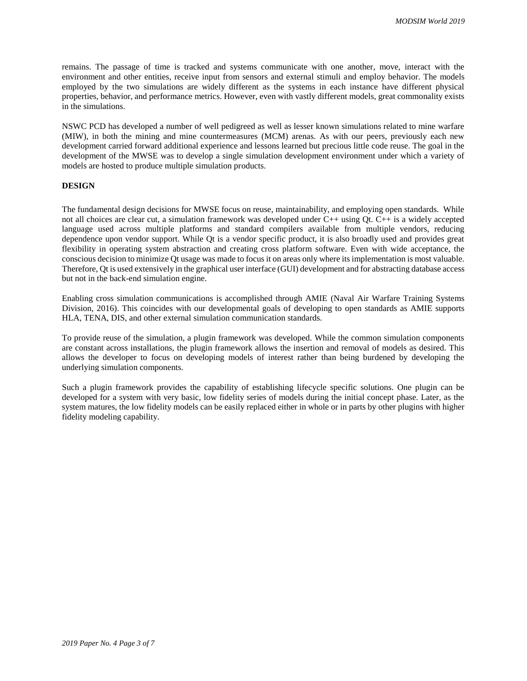remains. The passage of time is tracked and systems communicate with one another, move, interact with the environment and other entities, receive input from sensors and external stimuli and employ behavior. The models employed by the two simulations are widely different as the systems in each instance have different physical properties, behavior, and performance metrics. However, even with vastly different models, great commonality exists in the simulations.

NSWC PCD has developed a number of well pedigreed as well as lesser known simulations related to mine warfare (MIW), in both the mining and mine countermeasures (MCM) arenas. As with our peers, previously each new development carried forward additional experience and lessons learned but precious little code reuse. The goal in the development of the MWSE was to develop a single simulation development environment under which a variety of models are hosted to produce multiple simulation products.

#### **DESIGN**

The fundamental design decisions for MWSE focus on reuse, maintainability, and employing open standards. While not all choices are clear cut, a simulation framework was developed under C++ using Qt. C++ is a widely accepted language used across multiple platforms and standard compilers available from multiple vendors, reducing dependence upon vendor support. While Qt is a vendor specific product, it is also broadly used and provides great flexibility in operating system abstraction and creating cross platform software. Even with wide acceptance, the conscious decision to minimize Qt usage was made to focus it on areas only where its implementation is most valuable. Therefore, Qt is used extensively in the graphical user interface (GUI) development and for abstracting database access but not in the back-end simulation engine.

Enabling cross simulation communications is accomplished through AMIE (Naval Air Warfare Training Systems Division, 2016). This coincides with our developmental goals of developing to open standards as AMIE supports HLA, TENA, DIS, and other external simulation communication standards.

To provide reuse of the simulation, a plugin framework was developed. While the common simulation components are constant across installations, the plugin framework allows the insertion and removal of models as desired. This allows the developer to focus on developing models of interest rather than being burdened by developing the underlying simulation components.

Such a plugin framework provides the capability of establishing lifecycle specific solutions. One plugin can be developed for a system with very basic, low fidelity series of models during the initial concept phase. Later, as the system matures, the low fidelity models can be easily replaced either in whole or in parts by other plugins with higher fidelity modeling capability.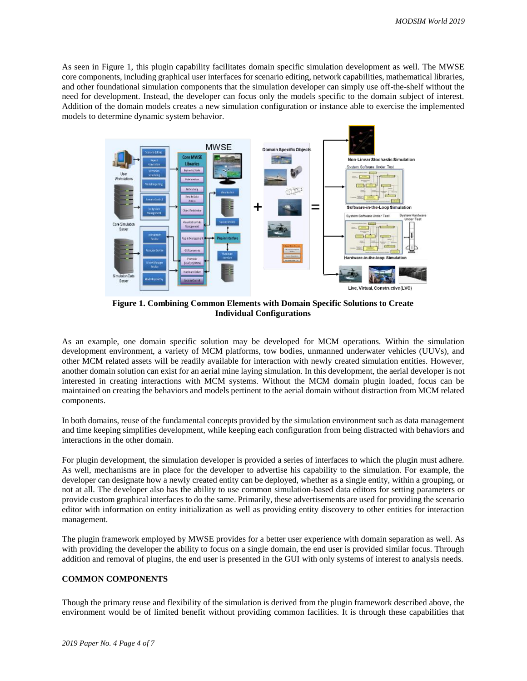As seen in Figure 1, this plugin capability facilitates domain specific simulation development as well. The MWSE core components, including graphical user interfaces for scenario editing, network capabilities, mathematical libraries, and other foundational simulation components that the simulation developer can simply use off-the-shelf without the need for development. Instead, the developer can focus only the models specific to the domain subject of interest. Addition of the domain models creates a new simulation configuration or instance able to exercise the implemented models to determine dynamic system behavior.



**Figure 1. Combining Common Elements with Domain Specific Solutions to Create Individual Configurations**

As an example, one domain specific solution may be developed for MCM operations. Within the simulation development environment, a variety of MCM platforms, tow bodies, unmanned underwater vehicles (UUVs), and other MCM related assets will be readily available for interaction with newly created simulation entities. However, another domain solution can exist for an aerial mine laying simulation. In this development, the aerial developer is not interested in creating interactions with MCM systems. Without the MCM domain plugin loaded, focus can be maintained on creating the behaviors and models pertinent to the aerial domain without distraction from MCM related components.

In both domains, reuse of the fundamental concepts provided by the simulation environment such as data management and time keeping simplifies development, while keeping each configuration from being distracted with behaviors and interactions in the other domain.

For plugin development, the simulation developer is provided a series of interfaces to which the plugin must adhere. As well, mechanisms are in place for the developer to advertise his capability to the simulation. For example, the developer can designate how a newly created entity can be deployed, whether as a single entity, within a grouping, or not at all. The developer also has the ability to use common simulation-based data editors for setting parameters or provide custom graphical interfaces to do the same. Primarily, these advertisements are used for providing the scenario editor with information on entity initialization as well as providing entity discovery to other entities for interaction management.

The plugin framework employed by MWSE provides for a better user experience with domain separation as well. As with providing the developer the ability to focus on a single domain, the end user is provided similar focus. Through addition and removal of plugins, the end user is presented in the GUI with only systems of interest to analysis needs.

#### **COMMON COMPONENTS**

Though the primary reuse and flexibility of the simulation is derived from the plugin framework described above, the environment would be of limited benefit without providing common facilities. It is through these capabilities that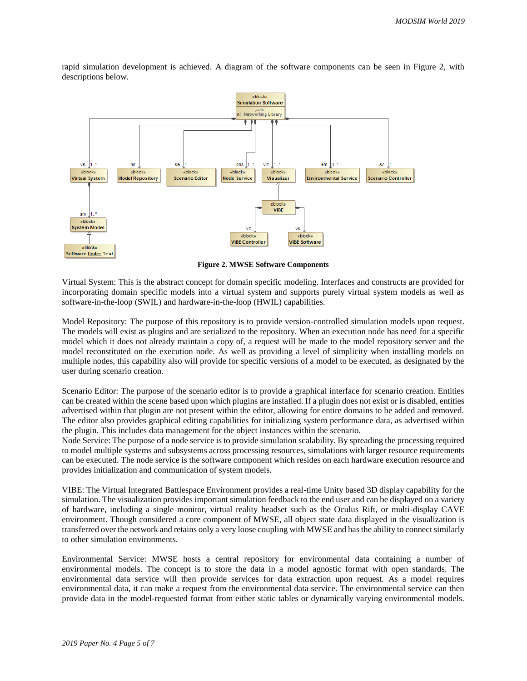

rapid simulation development is achieved. A diagram of the software components can be seen in Figure 2, with descriptions below.

**Figure 2. MWSE Software Components**

Virtual System: This is the abstract concept for domain specific modeling. Interfaces and constructs are provided for incorporating domain specific models into a virtual system and supports purely virtual system models as well as software-in-the-loop (SWIL) and hardware-in-the-loop (HWIL) capabilities.

Model Repository: The purpose of this repository is to provide version-controlled simulation models upon request. The models will exist as plugins and are serialized to the repository. When an execution node has need for a specific model which it does not already maintain a copy of, a request will be made to the model repository server and the model reconstituted on the execution node. As well as providing a level of simplicity when installing models on multiple nodes, this capability also will provide for specific versions of a model to be executed, as designated by the user during scenario creation.

Scenario Editor: The purpose of the scenario editor is to provide a graphical interface for scenario creation. Entities can be created within the scene based upon which plugins are installed. If a plugin does not exist or is disabled, entities advertised within that plugin are not present within the editor, allowing for entire domains to be added and removed. The editor also provides graphical editing capabilities for initializing system performance data, as advertised within the plugin. This includes data management for the object instances within the scenario.

Node Service: The purpose of a node service is to provide simulation scalability. By spreading the processing required to model multiple systems and subsystems across processing resources, simulations with larger resource requirements can be executed. The node service is the software component which resides on each hardware execution resource and provides initialization and communication of system models.

VIBE: The Virtual Integrated Battlespace Environment provides a real-time Unity based 3D display capability for the simulation. The visualization provides important simulation feedback to the end user and can be displayed on a variety of hardware, including a single monitor, virtual reality headset such as the Oculus Rift, or multi-display CAVE environment. Though considered a core component of MWSE, all object state data displayed in the visualization is transferred over the network and retains only a very loose coupling with MWSE and has the ability to connect similarly to other simulation environments.

Environmental Service: MWSE hosts a central repository for environmental data containing a number of environmental models. The concept is to store the data in a model agnostic format with open standards. The environmental data service will then provide services for data extraction upon request. As a model requires environmental data, it can make a request from the environmental data service. The environmental service can then provide data in the model-requested format from either static tables or dynamically varying environmental models.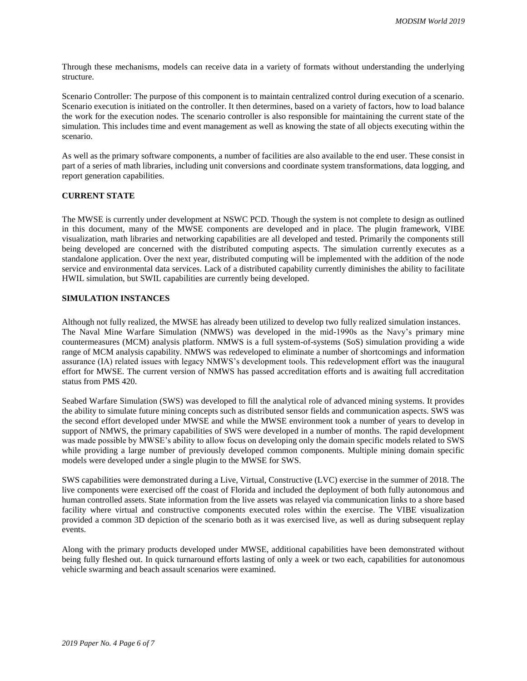Through these mechanisms, models can receive data in a variety of formats without understanding the underlying structure.

Scenario Controller: The purpose of this component is to maintain centralized control during execution of a scenario. Scenario execution is initiated on the controller. It then determines, based on a variety of factors, how to load balance the work for the execution nodes. The scenario controller is also responsible for maintaining the current state of the simulation. This includes time and event management as well as knowing the state of all objects executing within the scenario.

As well as the primary software components, a number of facilities are also available to the end user. These consist in part of a series of math libraries, including unit conversions and coordinate system transformations, data logging, and report generation capabilities.

#### **CURRENT STATE**

The MWSE is currently under development at NSWC PCD. Though the system is not complete to design as outlined in this document, many of the MWSE components are developed and in place. The plugin framework, VIBE visualization, math libraries and networking capabilities are all developed and tested. Primarily the components still being developed are concerned with the distributed computing aspects. The simulation currently executes as a standalone application. Over the next year, distributed computing will be implemented with the addition of the node service and environmental data services. Lack of a distributed capability currently diminishes the ability to facilitate HWIL simulation, but SWIL capabilities are currently being developed.

### **SIMULATION INSTANCES**

Although not fully realized, the MWSE has already been utilized to develop two fully realized simulation instances. The Naval Mine Warfare Simulation (NMWS) was developed in the mid-1990s as the Navy's primary mine countermeasures (MCM) analysis platform. NMWS is a full system-of-systems (SoS) simulation providing a wide range of MCM analysis capability. NMWS was redeveloped to eliminate a number of shortcomings and information assurance (IA) related issues with legacy NMWS's development tools. This redevelopment effort was the inaugural effort for MWSE. The current version of NMWS has passed accreditation efforts and is awaiting full accreditation status from PMS 420.

Seabed Warfare Simulation (SWS) was developed to fill the analytical role of advanced mining systems. It provides the ability to simulate future mining concepts such as distributed sensor fields and communication aspects. SWS was the second effort developed under MWSE and while the MWSE environment took a number of years to develop in support of NMWS, the primary capabilities of SWS were developed in a number of months. The rapid development was made possible by MWSE's ability to allow focus on developing only the domain specific models related to SWS while providing a large number of previously developed common components. Multiple mining domain specific models were developed under a single plugin to the MWSE for SWS.

SWS capabilities were demonstrated during a Live, Virtual, Constructive (LVC) exercise in the summer of 2018. The live components were exercised off the coast of Florida and included the deployment of both fully autonomous and human controlled assets. State information from the live assets was relayed via communication links to a shore based facility where virtual and constructive components executed roles within the exercise. The VIBE visualization provided a common 3D depiction of the scenario both as it was exercised live, as well as during subsequent replay events.

Along with the primary products developed under MWSE, additional capabilities have been demonstrated without being fully fleshed out. In quick turnaround efforts lasting of only a week or two each, capabilities for autonomous vehicle swarming and beach assault scenarios were examined.